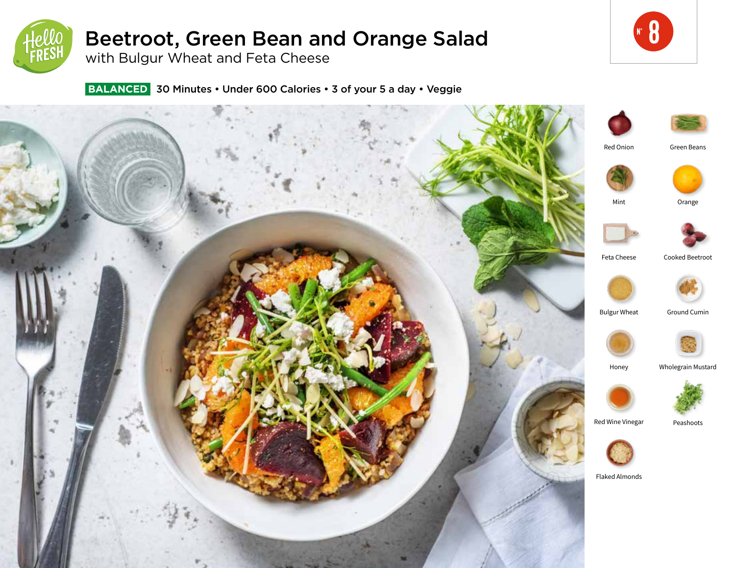

# Beetroot, Green Bean and Orange Salad

with Bulgur Wheat and Feta Cheese

 **BALANCED** 30 Minutes • Under 600 Calories • 3 of your 5 a day • Veggie



**8**